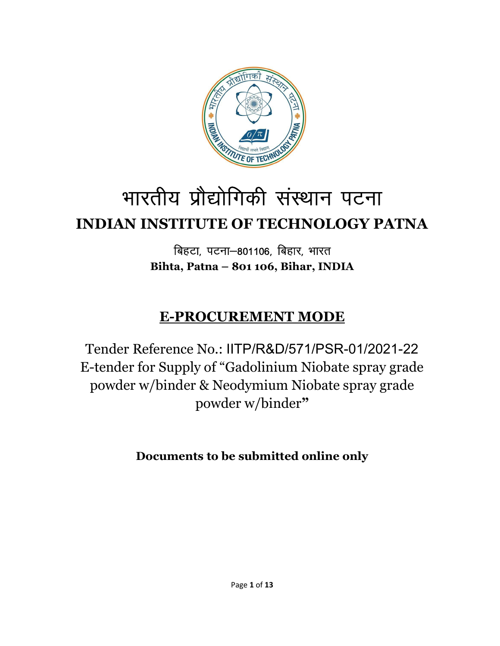

## भारतीय प्रौद्योगिकी संस्थान पटना INDIAN INSTITUTE OF TECHNOLOGY PATNA

बिहटा, पटना-801106, बिहार, भारत Bihta, Patna – 801 106, Bihar, INDIA

## E-PROCUREMENT MODE

Tender Reference No.: IITP/R&D/571/PSR-01/2021-22 E-tender for Supply of "Gadolinium Niobate spray grade powder w/binder & Neodymium Niobate spray grade powder w/binder"

Documents to be submitted online only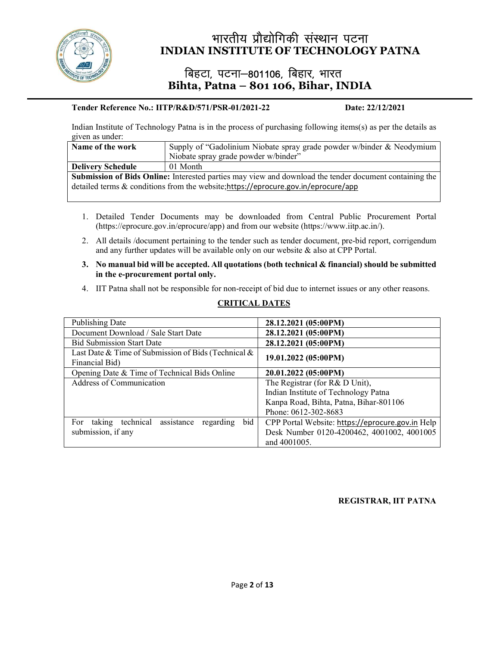

# भारतीय प्रौद्योगिकी संस्थान पटना<br>NSTITUTE OF TECHNOLOGY PATNA<br>एटना -901106, विद्युत भारत INDIAN INSTITUTE OF TECHNOLOGY PATNA

# विहटा, पटना–801106, बिहार, भारत<br>Bihta, Patna – 801 106, Bihar, INDIA

#### Tender Reference No.: IITP/R&D/571/PSR-01/2021-22 Date: 22/12/2021

Indian Institute of Technology Patna is in the process of purchasing following items(s) as per the details as given as under:

| Supply of "Gadolinium Niobate spray grade powder w/binder & Neodymium<br>Name of the work              |                                      |  |  |  |
|--------------------------------------------------------------------------------------------------------|--------------------------------------|--|--|--|
|                                                                                                        | Niobate spray grade powder w/binder" |  |  |  |
| <b>Delivery Schedule</b>                                                                               | 01 Month                             |  |  |  |
| Submission of Bids Online: Interested parties may view and download the tender document containing the |                                      |  |  |  |
| detailed terms & conditions from the website; https://eprocure.gov.in/eprocure/app                     |                                      |  |  |  |
|                                                                                                        |                                      |  |  |  |

- 1. Detailed Tender Documents may be downloaded from Central Public Procurement Portal (https://eprocure.gov.in/eprocure/app) and from our website (https://www.iitp.ac.in/).
- 2. All details /document pertaining to the tender such as tender document, pre-bid report, corrigendum and any further updates will be available only on our website & also at CPP Portal.
- 3. No manual bid will be accepted. All quotations (both technical & financial) should be submitted in the e-procurement portal only.
- 4. IIT Patna shall not be responsible for non-receipt of bid due to internet issues or any other reasons.

#### CRITICAL DATES

| Publishing Date                                             | 28.12.2021 (05:00PM)                             |  |
|-------------------------------------------------------------|--------------------------------------------------|--|
| Document Download / Sale Start Date                         | 28.12.2021 (05:00PM)                             |  |
| <b>Bid Submission Start Date</b>                            | 28.12.2021 (05:00PM)                             |  |
| Last Date & Time of Submission of Bids (Technical $\&$      |                                                  |  |
| Financial Bid)                                              | 19.01.2022 (05:00PM)                             |  |
| Opening Date & Time of Technical Bids Online                | 20.01.2022 (05:00PM)                             |  |
| Address of Communication                                    | The Registrar (for R& D Unit),                   |  |
|                                                             | Indian Institute of Technology Patna             |  |
|                                                             | Kanpa Road, Bihta, Patna, Bihar-801106           |  |
|                                                             | Phone: 0612-302-8683                             |  |
| taking technical<br>assistance<br>bid  <br>regarding<br>For | CPP Portal Website: https://eprocure.gov.in Help |  |
| submission, if any                                          | Desk Number 0120-4200462, 4001002, 4001005       |  |
|                                                             | and 4001005.                                     |  |

#### REGISTRAR, IIT PATNA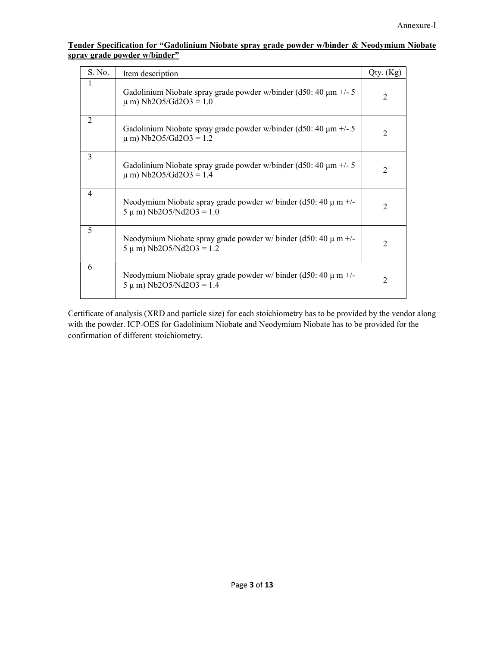| Tender Specification for "Gadolinium Niobate spray grade powder w/binder & Neodymium Niobate |  |  |  |
|----------------------------------------------------------------------------------------------|--|--|--|
| spray grade powder w/binder"                                                                 |  |  |  |

| S. No. | Item description                                                                                    | Qty. (Kg) |
|--------|-----------------------------------------------------------------------------------------------------|-----------|
| 1      | Gadolinium Niobate spray grade powder w/binder (d50: 40 $\mu$ m +/- 5<br>$\mu$ m) Nb2O5/Gd2O3 = 1.0 | 2         |
| 2      | Gadolinium Niobate spray grade powder w/binder (d50: 40 $\mu$ m +/- 5<br>$\mu$ m) Nb2O5/Gd2O3 = 1.2 | 2         |
| 3      | Gadolinium Niobate spray grade powder w/binder (d50: 40 $\mu$ m +/- 5<br>$\mu$ m) Nb2O5/Gd2O3 = 1.4 | 2         |
| 4      | Neodymium Niobate spray grade powder w/ binder (d50: 40 $\mu$ m +/-<br>$5 \mu$ m) Nb2O5/Nd2O3 = 1.0 | 2         |
| 5      | Neodymium Niobate spray grade powder w/ binder (d50: 40 $\mu$ m +/-<br>$5 \mu$ m) Nb2O5/Nd2O3 = 1.2 | 2         |
| 6      | Neodymium Niobate spray grade powder w/ binder (d50: 40 $\mu$ m +/-<br>$5 \mu$ m) Nb2O5/Nd2O3 = 1.4 | 2         |

Certificate of analysis (XRD and particle size) for each stoichiometry has to be provided by the vendor along with the powder. ICP-OES for Gadolinium Niobate and Neodymium Niobate has to be provided for the confirmation of different stoichiometry.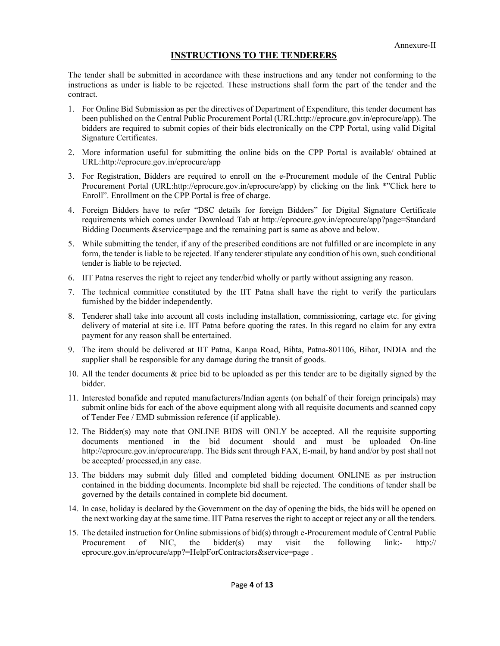#### INSTRUCTIONS TO THE TENDERERS

The tender shall be submitted in accordance with these instructions and any tender not conforming to the instructions as under is liable to be rejected. These instructions shall form the part of the tender and the contract.

- 1. For Online Bid Submission as per the directives of Department of Expenditure, this tender document has been published on the Central Public Procurement Portal (URL:http://eprocure.gov.in/eprocure/app). The bidders are required to submit copies of their bids electronically on the CPP Portal, using valid Digital Signature Certificates.
- 2. More information useful for submitting the online bids on the CPP Portal is available/ obtained at URL:http://eprocure.gov.in/eprocure/app
- 3. For Registration, Bidders are required to enroll on the e-Procurement module of the Central Public Procurement Portal (URL:http://eprocure.gov.in/eprocure/app) by clicking on the link \*"Click here to Enroll". Enrollment on the CPP Portal is free of charge.
- 4. Foreign Bidders have to refer "DSC details for foreign Bidders" for Digital Signature Certificate requirements which comes under Download Tab at http://eprocure.gov.in/eprocure/app?page=Standard Bidding Documents &service=page and the remaining part is same as above and below.
- 5. While submitting the tender, if any of the prescribed conditions are not fulfilled or are incomplete in any form, the tender is liable to be rejected. If any tenderer stipulate any condition of his own, such conditional tender is liable to be rejected.
- 6. IIT Patna reserves the right to reject any tender/bid wholly or partly without assigning any reason.
- 7. The technical committee constituted by the IIT Patna shall have the right to verify the particulars furnished by the bidder independently.
- 8. Tenderer shall take into account all costs including installation, commissioning, cartage etc. for giving delivery of material at site i.e. IIT Patna before quoting the rates. In this regard no claim for any extra payment for any reason shall be entertained.
- 9. The item should be delivered at IIT Patna, Kanpa Road, Bihta, Patna-801106, Bihar, INDIA and the supplier shall be responsible for any damage during the transit of goods.
- 10. All the tender documents & price bid to be uploaded as per this tender are to be digitally signed by the bidder.
- 11. Interested bonafide and reputed manufacturers/Indian agents (on behalf of their foreign principals) may submit online bids for each of the above equipment along with all requisite documents and scanned copy of Tender Fee / EMD submission reference (if applicable).
- 12. The Bidder(s) may note that ONLINE BIDS will ONLY be accepted. All the requisite supporting documents mentioned in the bid document should and must be uploaded On-line http://eprocure.gov.in/eprocure/app. The Bids sent through FAX, E-mail, by hand and/or by post shall not be accepted/ processed,in any case.
- 13. The bidders may submit duly filled and completed bidding document ONLINE as per instruction contained in the bidding documents. Incomplete bid shall be rejected. The conditions of tender shall be governed by the details contained in complete bid document.
- 14. In case, holiday is declared by the Government on the day of opening the bids, the bids will be opened on the next working day at the same time. IIT Patna reserves the right to accept or reject any or all the tenders.
- 15. The detailed instruction for Online submissions of bid(s) through e-Procurement module of Central Public Procurement of NIC, the bidder(s) may visit the following link:-  $\frac{http://}{http://}$ eprocure.gov.in/eprocure/app?=HelpForContractors&service=page .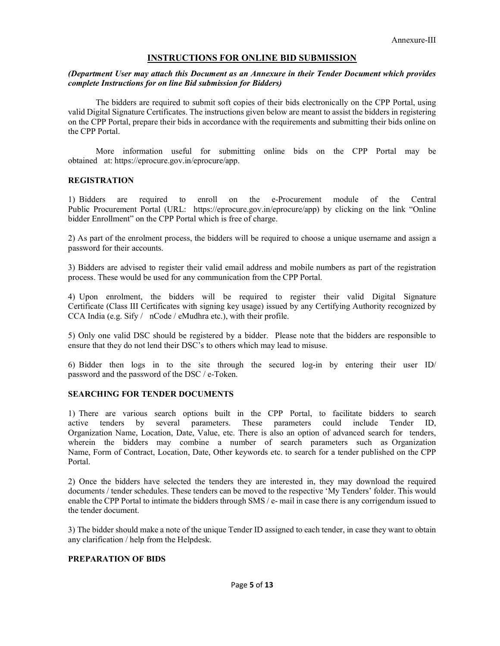#### INSTRUCTIONS FOR ONLINE BID SUBMISSION

#### (Department User may attach this Document as an Annexure in their Tender Document which provides complete Instructions for on line Bid submission for Bidders)

The bidders are required to submit soft copies of their bids electronically on the CPP Portal, using valid Digital Signature Certificates. The instructions given below are meant to assist the bidders in registering on the CPP Portal, prepare their bids in accordance with the requirements and submitting their bids online on the CPP Portal.

More information useful for submitting online bids on the CPP Portal may be obtained at: https://eprocure.gov.in/eprocure/app.

#### **REGISTRATION**

1) Bidders are required to enroll on the e-Procurement module of the Central Public Procurement Portal (URL: https://eprocure.gov.in/eprocure/app) by clicking on the link "Online bidder Enrollment" on the CPP Portal which is free of charge.

2) As part of the enrolment process, the bidders will be required to choose a unique username and assign a password for their accounts.

3) Bidders are advised to register their valid email address and mobile numbers as part of the registration process. These would be used for any communication from the CPP Portal.

4) Upon enrolment, the bidders will be required to register their valid Digital Signature Certificate (Class III Certificates with signing key usage) issued by any Certifying Authority recognized by CCA India (e.g. Sify / nCode / eMudhra etc.), with their profile.

5) Only one valid DSC should be registered by a bidder. Please note that the bidders are responsible to ensure that they do not lend their DSC's to others which may lead to misuse.

6) Bidder then logs in to the site through the secured log-in by entering their user ID/ password and the password of the DSC / e-Token.

#### SEARCHING FOR TENDER DOCUMENTS

1) There are various search options built in the CPP Portal, to facilitate bidders to search active tenders by several parameters. These parameters could include Tender ID, Organization Name, Location, Date, Value, etc. There is also an option of advanced search for tenders, wherein the bidders may combine a number of search parameters such as Organization Name, Form of Contract, Location, Date, Other keywords etc. to search for a tender published on the CPP Portal.

2) Once the bidders have selected the tenders they are interested in, they may download the required documents / tender schedules. These tenders can be moved to the respective 'My Tenders' folder. This would enable the CPP Portal to intimate the bidders through SMS / e- mail in case there is any corrigendum issued to the tender document.

3) The bidder should make a note of the unique Tender ID assigned to each tender, in case they want to obtain any clarification / help from the Helpdesk.

#### PREPARATION OF BIDS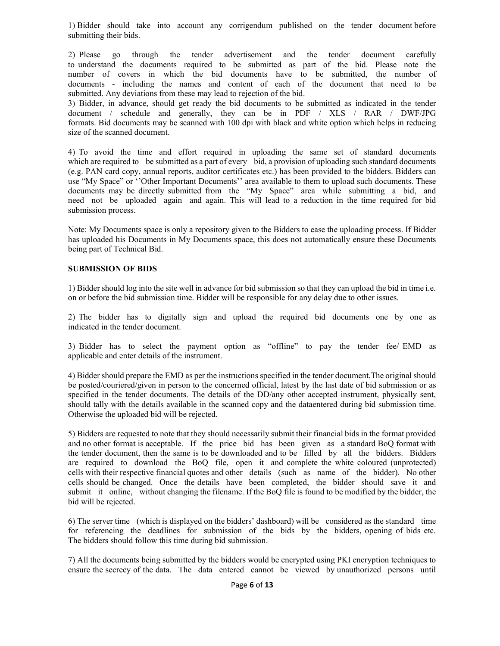1) Bidder should take into account any corrigendum published on the tender document before submitting their bids.

2) Please go through the tender advertisement and the tender document carefully to understand the documents required to be submitted as part of the bid. Please note the number of covers in which the bid documents have to be submitted, the number of documents - including the names and content of each of the document that need to be submitted. Any deviations from these may lead to rejection of the bid.

3) Bidder, in advance, should get ready the bid documents to be submitted as indicated in the tender document / schedule and generally, they can be in PDF / XLS / RAR / DWF/JPG formats. Bid documents may be scanned with 100 dpi with black and white option which helps in reducing size of the scanned document.

4) To avoid the time and effort required in uploading the same set of standard documents which are required to be submitted as a part of every bid, a provision of uploading such standard documents (e.g. PAN card copy, annual reports, auditor certificates etc.) has been provided to the bidders. Bidders can use "My Space" or ''Other Important Documents'' area available to them to upload such documents. These documents may be directly submitted from the "My Space" area while submitting a bid, and need not be uploaded again and again. This will lead to a reduction in the time required for bid submission process.

Note: My Documents space is only a repository given to the Bidders to ease the uploading process. If Bidder has uploaded his Documents in My Documents space, this does not automatically ensure these Documents being part of Technical Bid.

#### SUBMISSION OF BIDS

1) Bidder should log into the site well in advance for bid submission so that they can upload the bid in time i.e. on or before the bid submission time. Bidder will be responsible for any delay due to other issues.

2) The bidder has to digitally sign and upload the required bid documents one by one as indicated in the tender document.

3) Bidder has to select the payment option as "offline" to pay the tender fee/ EMD as applicable and enter details of the instrument.

4) Bidder should prepare the EMD as per the instructions specified in the tender document.The original should be posted/couriered/given in person to the concerned official, latest by the last date of bid submission or as specified in the tender documents. The details of the DD/any other accepted instrument, physically sent, should tally with the details available in the scanned copy and the dataentered during bid submission time. Otherwise the uploaded bid will be rejected.

5) Bidders are requested to note that they should necessarily submit their financial bids in the format provided and no other format is acceptable. If the price bid has been given as a standard BoQ format with the tender document, then the same is to be downloaded and to be filled by all the bidders. Bidders are required to download the BoQ file, open it and complete the white coloured (unprotected) cells with their respective financial quotes and other details (such as name of the bidder). No other cells should be changed. Once the details have been completed, the bidder should save it and submit it online, without changing the filename. If the BoQ file is found to be modified by the bidder, the bid will be rejected.

6) The server time (which is displayed on the bidders' dashboard) will be considered as the standard time for referencing the deadlines for submission of the bids by the bidders, opening of bids etc. The bidders should follow this time during bid submission.

7) All the documents being submitted by the bidders would be encrypted using PKI encryption techniques to ensure the secrecy of the data. The data entered cannot be viewed by unauthorized persons until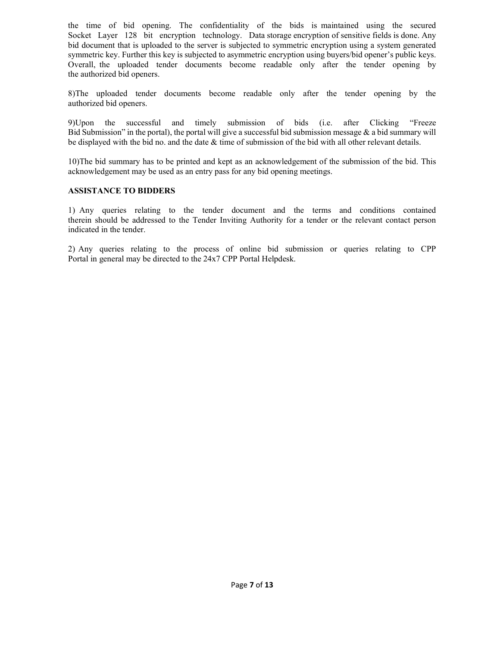the time of bid opening. The confidentiality of the bids is maintained using the secured Socket Layer 128 bit encryption technology. Data storage encryption of sensitive fields is done. Any bid document that is uploaded to the server is subjected to symmetric encryption using a system generated symmetric key. Further this key is subjected to asymmetric encryption using buyers/bid opener's public keys. Overall, the uploaded tender documents become readable only after the tender opening by the authorized bid openers.

8)The uploaded tender documents become readable only after the tender opening by the authorized bid openers.

9)Upon the successful and timely submission of bids (i.e. after Clicking "Freeze Bid Submission" in the portal), the portal will give a successful bid submission message  $\&$  a bid summary will be displayed with the bid no. and the date & time of submission of the bid with all other relevant details.

10)The bid summary has to be printed and kept as an acknowledgement of the submission of the bid. This acknowledgement may be used as an entry pass for any bid opening meetings.

#### ASSISTANCE TO BIDDERS

1) Any queries relating to the tender document and the terms and conditions contained therein should be addressed to the Tender Inviting Authority for a tender or the relevant contact person indicated in the tender.

2) Any queries relating to the process of online bid submission or queries relating to CPP Portal in general may be directed to the 24x7 CPP Portal Helpdesk.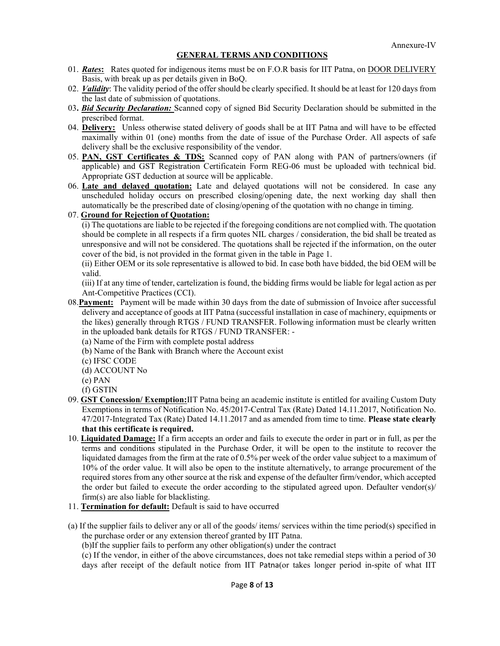#### GENERAL TERMS AND CONDITIONS

- 01. Rates: Rates quoted for indigenous items must be on F.O.R basis for IIT Patna, on DOOR DELIVERY Basis, with break up as per details given in BoQ.
- 02. Validity: The validity period of the offer should be clearly specified. It should be at least for 120 days from the last date of submission of quotations.
- 03. Bid Security Declaration: Scanned copy of signed Bid Security Declaration should be submitted in the prescribed format.
- 04. Delivery: Unless otherwise stated delivery of goods shall be at IIT Patna and will have to be effected maximally within 01 (one) months from the date of issue of the Purchase Order. All aspects of safe delivery shall be the exclusive responsibility of the vendor.
- 05. PAN, GST Certificates & TDS: Scanned copy of PAN along with PAN of partners/owners (if applicable) and GST Registration Certificatein Form REG-06 must be uploaded with technical bid. Appropriate GST deduction at source will be applicable.
- 06. Late and delayed quotation: Late and delayed quotations will not be considered. In case any unscheduled holiday occurs on prescribed closing/opening date, the next working day shall then automatically be the prescribed date of closing/opening of the quotation with no change in timing.

#### 07. Ground for Rejection of Quotation:

(i) The quotations are liable to be rejected if the foregoing conditions are not complied with. The quotation should be complete in all respects if a firm quotes NIL charges / consideration, the bid shall be treated as unresponsive and will not be considered. The quotations shall be rejected if the information, on the outer cover of the bid, is not provided in the format given in the table in Page 1.

(ii) Either OEM or its sole representative is allowed to bid. In case both have bidded, the bid OEM will be valid.

(iii) If at any time of tender, cartelization is found, the bidding firms would be liable for legal action as per Ant-Competitive Practices (CCI).

- 08.Payment: Payment will be made within 30 days from the date of submission of Invoice after successful delivery and acceptance of goods at IIT Patna (successful installation in case of machinery, equipments or the likes) generally through RTGS / FUND TRANSFER. Following information must be clearly written in the uploaded bank details for RTGS / FUND TRANSFER: -
	- (a) Name of the Firm with complete postal address
	- (b) Name of the Bank with Branch where the Account exist
	- (c) IFSC CODE
	- (d) ACCOUNT No
	- (e) PAN
	- (f) GSTIN
- 09. GST Concession/ Exemption:IIT Patna being an academic institute is entitled for availing Custom Duty Exemptions in terms of Notification No. 45/2017-Central Tax (Rate) Dated 14.11.2017, Notification No. 47/2017-Integrated Tax (Rate) Dated 14.11.2017 and as amended from time to time. Please state clearly that this certificate is required.
- 10. Liquidated Damage: If a firm accepts an order and fails to execute the order in part or in full, as per the terms and conditions stipulated in the Purchase Order, it will be open to the institute to recover the liquidated damages from the firm at the rate of 0.5% per week of the order value subject to a maximum of 10% of the order value. It will also be open to the institute alternatively, to arrange procurement of the required stores from any other source at the risk and expense of the defaulter firm/vendor, which accepted the order but failed to execute the order according to the stipulated agreed upon. Defaulter vendor(s)/ firm(s) are also liable for blacklisting.
- 11. Termination for default: Default is said to have occurred
- (a) If the supplier fails to deliver any or all of the goods/ items/ services within the time period(s) specified in the purchase order or any extension thereof granted by IIT Patna.
	- (b)If the supplier fails to perform any other obligation(s) under the contract

 (c) If the vendor, in either of the above circumstances, does not take remedial steps within a period of 30 days after receipt of the default notice from IIT Patna(or takes longer period in-spite of what IIT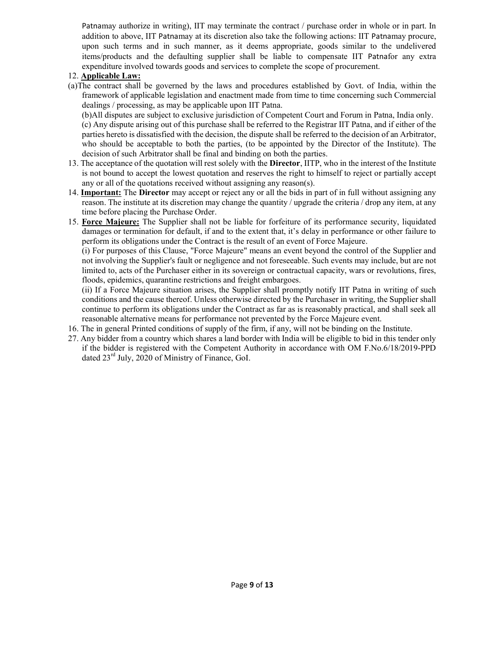Patnamay authorize in writing), IIT may terminate the contract / purchase order in whole or in part. In addition to above, IIT Patnamay at its discretion also take the following actions: IIT Patnamay procure, upon such terms and in such manner, as it deems appropriate, goods similar to the undelivered items/products and the defaulting supplier shall be liable to compensate IIT Patnafor any extra expenditure involved towards goods and services to complete the scope of procurement.

#### 12. Applicable Law:

(a)The contract shall be governed by the laws and procedures established by Govt. of India, within the framework of applicable legislation and enactment made from time to time concerning such Commercial dealings / processing, as may be applicable upon IIT Patna.

 (b)All disputes are subject to exclusive jurisdiction of Competent Court and Forum in Patna, India only. (c) Any dispute arising out of this purchase shall be referred to the Registrar IIT Patna, and if either of the parties hereto is dissatisfied with the decision, the dispute shall be referred to the decision of an Arbitrator, who should be acceptable to both the parties, (to be appointed by the Director of the Institute). The decision of such Arbitrator shall be final and binding on both the parties.

- 13. The acceptance of the quotation will rest solely with the Director, IITP, who in the interest of the Institute is not bound to accept the lowest quotation and reserves the right to himself to reject or partially accept any or all of the quotations received without assigning any reason(s).
- 14. **Important:** The Director may accept or reject any or all the bids in part of in full without assigning any reason. The institute at its discretion may change the quantity / upgrade the criteria / drop any item, at any time before placing the Purchase Order.
- 15. Force Majeure: The Supplier shall not be liable for forfeiture of its performance security, liquidated damages or termination for default, if and to the extent that, it's delay in performance or other failure to perform its obligations under the Contract is the result of an event of Force Majeure.

(i) For purposes of this Clause, "Force Majeure" means an event beyond the control of the Supplier and not involving the Supplier's fault or negligence and not foreseeable. Such events may include, but are not limited to, acts of the Purchaser either in its sovereign or contractual capacity, wars or revolutions, fires, floods, epidemics, quarantine restrictions and freight embargoes.

(ii) If a Force Majeure situation arises, the Supplier shall promptly notify IIT Patna in writing of such conditions and the cause thereof. Unless otherwise directed by the Purchaser in writing, the Supplier shall continue to perform its obligations under the Contract as far as is reasonably practical, and shall seek all reasonable alternative means for performance not prevented by the Force Majeure event.

- 16. The in general Printed conditions of supply of the firm, if any, will not be binding on the Institute.
- 27. Any bidder from a country which shares a land border with India will be eligible to bid in this tender only if the bidder is registered with the Competent Authority in accordance with OM F.No.6/18/2019-PPD dated  $23<sup>rd</sup>$  July, 2020 of Ministry of Finance, GoI.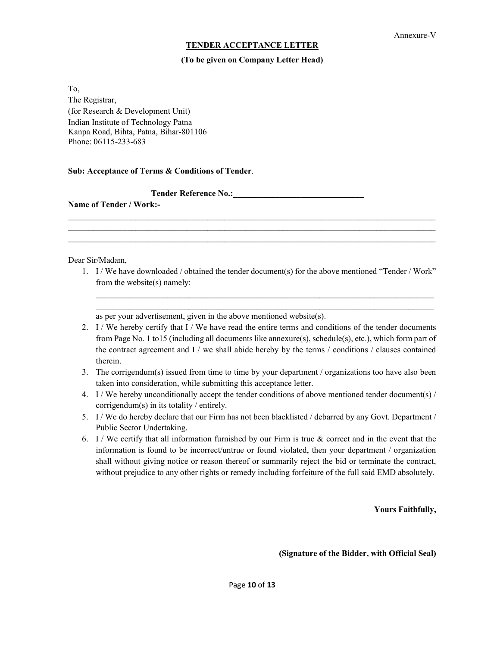#### TENDER ACCEPTANCE LETTER

#### (To be given on Company Letter Head)

To, The Registrar, (for Research & Development Unit) Indian Institute of Technology Patna Kanpa Road, Bihta, Patna, Bihar-801106 Phone: 06115-233-683

#### Sub: Acceptance of Terms & Conditions of Tender.

Tender Reference No.:\_\_\_\_\_\_\_\_\_\_\_\_\_\_\_\_\_\_\_\_\_\_\_\_\_\_\_\_\_\_\_

Name of Tender / Work:-

#### Dear Sir/Madam,

1. I / We have downloaded / obtained the tender document(s) for the above mentioned "Tender / Work" from the website(s) namely:

 $\mathcal{L}_\mathcal{L} = \{ \mathcal{L}_\mathcal{L} = \{ \mathcal{L}_\mathcal{L} = \{ \mathcal{L}_\mathcal{L} = \{ \mathcal{L}_\mathcal{L} = \{ \mathcal{L}_\mathcal{L} = \{ \mathcal{L}_\mathcal{L} = \{ \mathcal{L}_\mathcal{L} = \{ \mathcal{L}_\mathcal{L} = \{ \mathcal{L}_\mathcal{L} = \{ \mathcal{L}_\mathcal{L} = \{ \mathcal{L}_\mathcal{L} = \{ \mathcal{L}_\mathcal{L} = \{ \mathcal{L}_\mathcal{L} = \{ \mathcal{L}_\mathcal{$ 

 $\mathcal{L}_\mathcal{L} = \mathcal{L}_\mathcal{L} = \mathcal{L}_\mathcal{L} = \mathcal{L}_\mathcal{L} = \mathcal{L}_\mathcal{L} = \mathcal{L}_\mathcal{L} = \mathcal{L}_\mathcal{L} = \mathcal{L}_\mathcal{L} = \mathcal{L}_\mathcal{L} = \mathcal{L}_\mathcal{L} = \mathcal{L}_\mathcal{L} = \mathcal{L}_\mathcal{L} = \mathcal{L}_\mathcal{L} = \mathcal{L}_\mathcal{L} = \mathcal{L}_\mathcal{L} = \mathcal{L}_\mathcal{L} = \mathcal{L}_\mathcal{L}$  $\mathcal{L}_\mathcal{L} = \{ \mathcal{L}_\mathcal{L} = \{ \mathcal{L}_\mathcal{L} = \{ \mathcal{L}_\mathcal{L} = \{ \mathcal{L}_\mathcal{L} = \{ \mathcal{L}_\mathcal{L} = \{ \mathcal{L}_\mathcal{L} = \{ \mathcal{L}_\mathcal{L} = \{ \mathcal{L}_\mathcal{L} = \{ \mathcal{L}_\mathcal{L} = \{ \mathcal{L}_\mathcal{L} = \{ \mathcal{L}_\mathcal{L} = \{ \mathcal{L}_\mathcal{L} = \{ \mathcal{L}_\mathcal{L} = \{ \mathcal{L}_\mathcal{$  $\mathcal{L}_\mathcal{L} = \mathcal{L}_\mathcal{L} = \mathcal{L}_\mathcal{L} = \mathcal{L}_\mathcal{L} = \mathcal{L}_\mathcal{L} = \mathcal{L}_\mathcal{L} = \mathcal{L}_\mathcal{L} = \mathcal{L}_\mathcal{L} = \mathcal{L}_\mathcal{L} = \mathcal{L}_\mathcal{L} = \mathcal{L}_\mathcal{L} = \mathcal{L}_\mathcal{L} = \mathcal{L}_\mathcal{L} = \mathcal{L}_\mathcal{L} = \mathcal{L}_\mathcal{L} = \mathcal{L}_\mathcal{L} = \mathcal{L}_\mathcal{L}$ 

as per your advertisement, given in the above mentioned website(s).

- 2. I / We hereby certify that I / We have read the entire terms and conditions of the tender documents from Page No. 1 to15 (including all documents like annexure(s), schedule(s), etc.), which form part of the contract agreement and I / we shall abide hereby by the terms / conditions / clauses contained therein.
- 3. The corrigendum(s) issued from time to time by your department / organizations too have also been taken into consideration, while submitting this acceptance letter.
- 4. I / We hereby unconditionally accept the tender conditions of above mentioned tender document(s)  $/$ corrigendum(s) in its totality / entirely.
- 5. I / We do hereby declare that our Firm has not been blacklisted / debarred by any Govt. Department / Public Sector Undertaking.
- 6. I / We certify that all information furnished by our Firm is true & correct and in the event that the information is found to be incorrect/untrue or found violated, then your department / organization shall without giving notice or reason thereof or summarily reject the bid or terminate the contract, without prejudice to any other rights or remedy including forfeiture of the full said EMD absolutely.

Yours Faithfully,

(Signature of the Bidder, with Official Seal)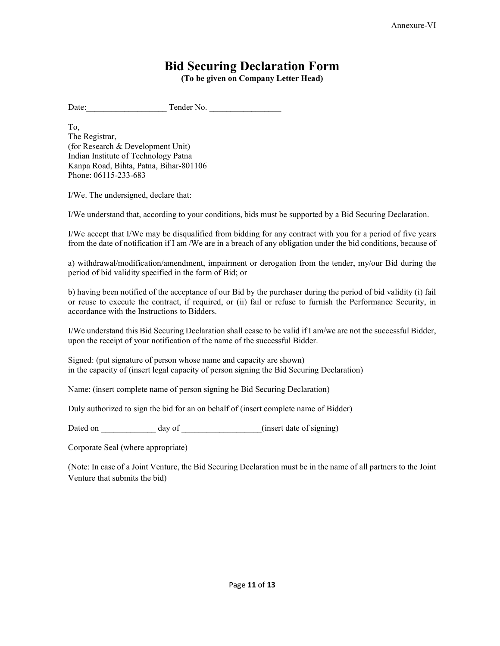### Bid Securing Declaration Form

(To be given on Company Letter Head)

Date: Tender No.

To, The Registrar, (for Research & Development Unit) Indian Institute of Technology Patna Kanpa Road, Bihta, Patna, Bihar-801106 Phone: 06115-233-683

I/We. The undersigned, declare that:

I/We understand that, according to your conditions, bids must be supported by a Bid Securing Declaration.

I/We accept that I/We may be disqualified from bidding for any contract with you for a period of five years from the date of notification if I am /We are in a breach of any obligation under the bid conditions, because of

a) withdrawal/modification/amendment, impairment or derogation from the tender, my/our Bid during the period of bid validity specified in the form of Bid; or

b) having been notified of the acceptance of our Bid by the purchaser during the period of bid validity (i) fail or reuse to execute the contract, if required, or (ii) fail or refuse to furnish the Performance Security, in accordance with the Instructions to Bidders.

I/We understand this Bid Securing Declaration shall cease to be valid if I am/we are not the successful Bidder, upon the receipt of your notification of the name of the successful Bidder.

Signed: (put signature of person whose name and capacity are shown) in the capacity of (insert legal capacity of person signing the Bid Securing Declaration)

Name: (insert complete name of person signing he Bid Securing Declaration)

Duly authorized to sign the bid for an on behalf of (insert complete name of Bidder)

Dated on day of  $\qquad \qquad$  (insert date of signing)

Corporate Seal (where appropriate)

(Note: In case of a Joint Venture, the Bid Securing Declaration must be in the name of all partners to the Joint Venture that submits the bid)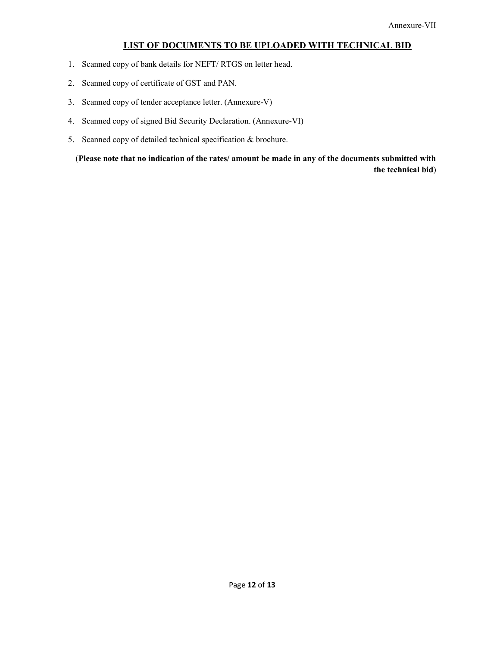#### LIST OF DOCUMENTS TO BE UPLOADED WITH TECHNICAL BID

- 1. Scanned copy of bank details for NEFT/ RTGS on letter head.
- 2. Scanned copy of certificate of GST and PAN.
- 3. Scanned copy of tender acceptance letter. (Annexure-V)
- 4. Scanned copy of signed Bid Security Declaration. (Annexure-VI)
- 5. Scanned copy of detailed technical specification & brochure.

 (Please note that no indication of the rates/ amount be made in any of the documents submitted with the technical bid)